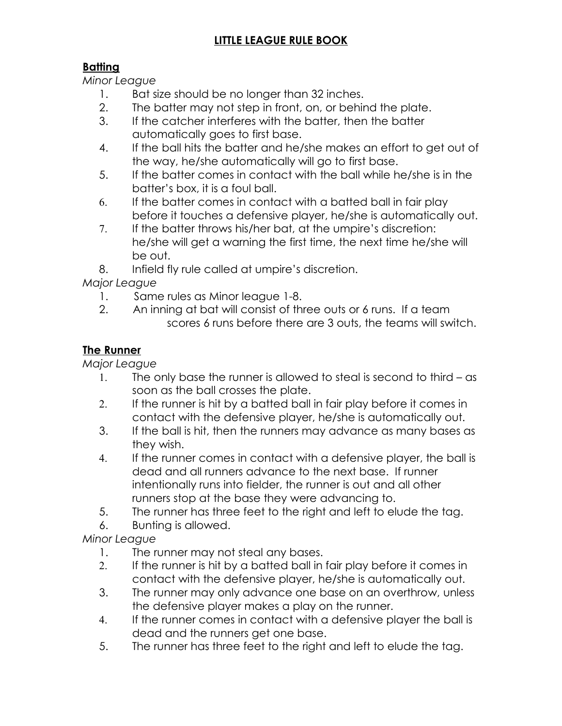# **LITTLE LEAGUE RULE BOOK**

## **Batting**

*Minor League*

- 1. Bat size should be no longer than 32 inches.
- 2. The batter may not step in front, on, or behind the plate.
- 3. If the catcher interferes with the batter, then the batter automatically goes to first base.
- 4. If the ball hits the batter and he/she makes an effort to get out of the way, he/she automatically will go to first base.
- 5. If the batter comes in contact with the ball while he/she is in the batter's box, it is a foul ball.
- 6. If the batter comes in contact with a batted ball in fair play before it touches a defensive player, he/she is automatically out.
- 7. If the batter throws his/her bat, at the umpire's discretion: he/she will get a warning the first time, the next time he/she will be out.
- 8. Infield fly rule called at umpire's discretion.

*Major League*

- 1. Same rules as Minor league 1-8.
- 2. An inning at bat will consist of three outs or 6 runs. If a team scores 6 runs before there are 3 outs, the teams will switch.

#### **The Runner**

*Major League*

- 1. The only base the runner is allowed to steal is second to third as soon as the ball crosses the plate.
- 2. If the runner is hit by a batted ball in fair play before it comes in contact with the defensive player, he/she is automatically out.
- 3. If the ball is hit, then the runners may advance as many bases as they wish.
- 4. If the runner comes in contact with a defensive player, the ball is dead and all runners advance to the next base. If runner intentionally runs into fielder, the runner is out and all other runners stop at the base they were advancing to.
- 5. The runner has three feet to the right and left to elude the tag.
- 6. Bunting is allowed.

*Minor League*

- 1. The runner may not steal any bases.
- 2. If the runner is hit by a batted ball in fair play before it comes in contact with the defensive player, he/she is automatically out.
- 3. The runner may only advance one base on an overthrow, unless the defensive player makes a play on the runner.
- 4. If the runner comes in contact with a defensive player the ball is dead and the runners get one base.
- 5. The runner has three feet to the right and left to elude the tag.